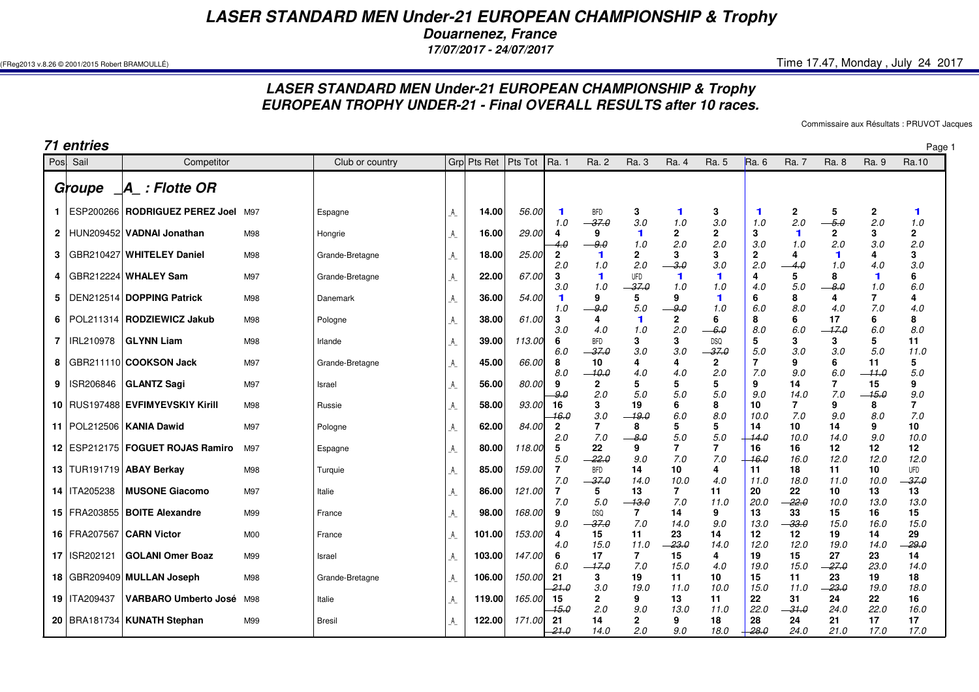*LASER STANDARD MEN Under-21 EUROPEAN CHAMPIONSHIP & Trophy*

*Douarnenez, France*

*17/07/2017 - 24/07/2017*

(FReg2013 v.8.26 © 2001/2015 Robert BRAMOULLÉ) Time 17.47, Monday , July 24 2017

## *LASER STANDARD MEN Under-21 EUROPEAN CHAMPIONSHIP & TrophyEUROPEAN TROPHY UNDER-21 - Final OVERALL RESULTS after 10 races.*

Commissaire aux Résultats : PRUVOT Jacques

*71 entries* Page 1 *Groupe \_A\_ : Flotte OR*  **1** ESP200266 **RODRIGUEZ PEREZ Joel** M97 Espagne \_A\_ **14.00** 56.00 **1** BFD **3 1 3 1 2 5 2 1** | 1.0 <del>= 37.0</del> = 3.0 = 1.0 = 3.0 = 1.0 = 1.0 = 2.0 = <del>-5.0</del> = 2.0 = 1.0  $\overline{2}$  **2** HUN209452 **VADNAI Jonathan** M98 Hongrie \_A\_ **16.00** 29.00 **4 9 1 2 2 3 1 2 3 2** 4.0 9.0 1.0 2.0 2.0 3.0 1.0 2.0 3.0 2.0 **3** GBR210427 **WHITELEY Daniel** M98 Grande-Bretagne \_A\_ **18.00** 25.00 **2 1 2 3 3 2 4 1 4 3** | 2.0 1.0 2.0 <del>\_\_3.0</del> 3.0 2.0 <del>\_\_4.0</del> 1.0 4.0 3.0  **4** GBR212224 **WHALEY Sam** M97 Grande-Bretagne \_A\_ **22.00** 67.00 **3 1** UFD **1 1 4 5 8 1 6** 3.0 1.0 37.0 1.0 1.0 4.0 5.0 8.0 1.0 6.0 **5**5 | DEN212514 | DOPPING Patrick M98 | Danemark | A\_ | 36.00 | 54.00 | 1 | 9 | 5 | 9 | 1 | 6 | 8 | 8 | 4 | 7 | 4 | 1.0 <del>| 9.0</del> | 5.0 | <del>9.0</del> | 1.0 | 6.0 | 8.0 | 4.0 | 7.0 | 4.0  **6** POL211314 **RODZIEWICZ Jakub** M98 Pologne \_A\_ **38.00** 61.00 **3 4 1 2 6 8 6 17 6 8** 3.0 4.0 1.0 2.0 6.0 8.0 6.0 17.0 6.0 8.0 $11$  **7GLYNN Liam**  M98 Irlande \_A\_ **39.00** 113.00 **6** BFD **3 3** DSQ **5 3 3 5 11** | 6.0 <del>- 37.0</del> 3.0 3.0 <del>- 37.0</del> | 5.0 3.0 5.0 11.0  **8** GBR211110 **COOKSON Jack** M97 Grande-Bretagne \_A\_ **45.00** 66.00 **8 10 4 4 2 7 9 6 11 5** | 8.0 <del>| 10.0</del> | 4.0 | 4.0 | 2.0 | 7.0 | 9.0 | 6.0 | <del>11.0</del> | 5.0  **9** ISR206846 **GLANTZ Sagi** M97 Israel \_A\_ **56.00** 80.00 **9 2 5 5 5 9 14 7 15 9** <del>9.</del>0 2.0 5.0 5.0 5.0 9.0 14.0 7.0 <del>-15.0</del> 9.0  $\overline{7}$  **10** RUS197488 **EVFIMYEVSKIY Kirill** M98 Russie \_A\_ **58.00** 93.00 **16 3 19 6 8 10 7 9 8 7** 16.0 3.0 19.0 6.0 8.0 10.0 7.0 9.0 8.0 7.0 $10$  **11** POL212506 **KANIA Dawid** M97 Pologne \_A\_ **62.00** 84.00 **2 7 8 5 5 14 10 14 9 10** | 2.0 7.0 <del>\_\_8.0</del> 5.0 <del>| 14.0</del> 10.0 14.0 9.0 10.0  $12$  **12** ESP212175 **FOGUET ROJAS Ramiro** M97 Espagne \_A\_ **80.00** 118.00 **5 22 9 7 7 16 16 12 12 12** | 5.0 <del>-22.0</del> 9.0 7.0 7.0 <del>| 16.0</del> 16.0 12.0 12.0 12.0 **13 TUR191719 ABAY Berkav**  TUR191719 **ABAY Berkay** M98 Turquie \_A\_ **85.00** 159.00 **7** BFD **14 10 4 11 18 11 10** UFD | 7.0 <del>| 37.0</del> | 14.0 | 10.0 | 4.0 | 11.0 | 18.0 | 11.0 | 10.0 <del>| 37.0</del> 13  **14MUSONE Giacomo**  M97 Italie \_A\_ **86.00** 121.00 **7 5 13 7 11 20 22 10 13 13** | 7.0 5.0 <del>\_13.0</del> 7.0 11.0 | 20.0 <del>\_22.0</del> 10.0 13.0 13.0  **15** FRA203855 **BOITE Alexandre** M99 France \_A\_ **98.00** 168.00 **9** DSQ **7 14 9 13 33 15 16 15** | 9.0 <del>| 37.0</del> 7.0 | 14.0 | 9.0 | 13.0 <del>| 33.0</del> | 15.0 | 16.0 | 15.0  **16** FRA207567 **CARN Victor** M00 France \_A\_ **101.00** 153.00 **4 15 11 23 14 12 12 19 14 29** | 4.0 15.0 11.0 <del>\_23.0</del> 14.0 | 12.0 12.0 19.0 14.0 <del>\_29.0</del>  $14$  **17** ISR202121 **GOLANI Omer Boaz** M99 Israel \_A\_ **103.00** 147.00 **6 17 7 15 4 19 15 27 23 14** | 6.0 <del>- 17.0</del> - 7.0 - 15.0 - 4.0 | 19.0 - 15.0 - <del>- 27.0</del> - 23.0 - 14.0  **18** GBR209409 **MULLAN Joseph** M98 Grande-Bretagne \_A\_ **106.00** 150.00 **21 3 19 11 10 15 11 23 19 18** <del>21.0</del> 3.0 19.0 11.0 10.0 15.0 11.0 <del>23.0</del> 19.0 18.0  **19** ITA209437 **VARBARO Umberto José** M98 Italie \_A\_ **119.00** 165.00 **15 2 9 13 11 22 31 24 22 16** 15.0 2.0 9.0 13.0 11.0 22.0 31.0 24.0 22.0 16.0 **20** BRA181734 **KUNATH Stephan** M99 Bresil \_A\_ **122.00** 171.00 **21 14 2 9 18 28 24 21 17 17** <del>21.0</del> 14.0 2.0 9.0 18.0 <del>∣ 28.0</del> 24.0 21.0 17.0 17.0 Pos. Sail Competitor Competitor Competitor Club or country y |Grp|Pts Ret |Pts Tot |Ra. 1 Ra. 2 Ra. 3 Ra. 4 Ra. 5 Ra. 6 Ra. 7 Ra. 8 Ra. 10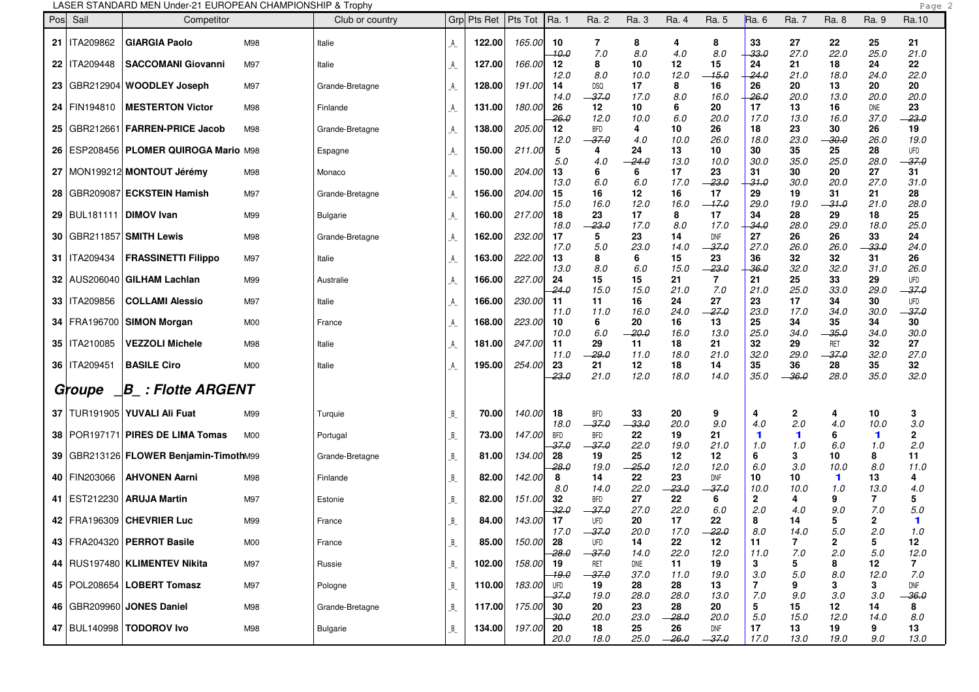|    |                               | LASER STANDARD MEN Under-21 EUROPEAN CHAMPIONSHIP & Trophy |                |                 |                             |             |             |               |                       |               |               |               |                      |                        |                       |                       | Page                |
|----|-------------------------------|------------------------------------------------------------|----------------|-----------------|-----------------------------|-------------|-------------|---------------|-----------------------|---------------|---------------|---------------|----------------------|------------------------|-----------------------|-----------------------|---------------------|
|    | Posl Sail                     | Competitor                                                 |                | Club or country |                             | Grp Pts Ret | $ $ Pts Tot | Ra. 1         | Ra. 2                 | Ra. 3         | Ra. 4         | Ra. 5         | Ra. 6                | Ra. 7                  | Ra. 8                 | Ra. 9                 | Ra.10               |
|    | 21   ITA209862                | <b>GIARGIA Paolo</b>                                       | M98            | Italie          | A                           | 122.00      | 165.00      | 10<br>10.0    | 7<br>7.0              | 8<br>8.0      | 4<br>4.0      | 8<br>8.0      | 33<br>$-33.0$        | 27<br>27.0             | 22<br>22.0            | 25<br>25.0            | 21<br>21.0          |
|    | 22   ITA209448                | <b>SACCOMANI Giovanni</b>                                  | M97            | Italie          | A                           | 127.00      | 166.00      | 12<br>12.0    | 8<br>8.0              | 10<br>10.0    | 12<br>12.0    | 15<br>$-15.0$ | 24<br>$-24.0$        | 21<br>21.0             | 18<br>18.0            | 24<br>24.0            | 22<br>22.0          |
|    |                               | 23 GBR212904 WOODLEY Joseph                                | M97            | Grande-Bretagne | $\mathcal{A}_{-}$           | 128.00      | 191.00      | 14<br>14.0    | <b>DSQ</b><br>$-37.0$ | 17<br>17.0    | 8<br>8.0      | 16            | 26<br>-26.0          | 20<br>20.0             | 13<br>13.0            | 20<br>20.0            | 20<br>20.0          |
|    | 24   FIN194810                | <b>MESTERTON Victor</b>                                    | M98            | Finlande        | _A_                         | 131.00      | 180.00      | 26            | 12                    | 10            | 6             | 16.0<br>20    | 17                   | 13                     | 16                    | DNE<br>37.0           | 23                  |
|    |                               | 25   GBR212661   FARREN-PRICE Jacob                        | M98            | Grande-Bretagne | _A_                         | 138.00      | 205.00      | $-26.0$<br>12 | 12.0<br><b>BFD</b>    | 10.0<br>4     | 6.0<br>10     | 20.0<br>26    | 17.0<br>18           | 13.0<br>23             | 16.0<br>30            | 26                    | $-23.0$<br>19       |
| 26 |                               | I ESP208456   <b>PLOMER QUIROGA Mario</b> M98              |                | Espagne         | $\mathcal{A}_{\mathcal{A}}$ | 150.00      | 211.00      | 12.0<br>5     | -37.0<br>4            | 4.0<br>24     | 10.0<br>13    | 26.0<br>10    | 18.0<br>30           | 23.0<br>35             | -30.0<br>25           | 26.0<br>28            | 19.0<br>UFD         |
|    |                               | 27   MON199212 MONTOUT Jérémy                              | M98            | Monaco          | $\mathcal{A}_{\mathcal{L}}$ | 150.00      | 204.00      | 5.0<br>13     | 4.0<br>6              | -24.0<br>6    | 13.0<br>17    | 10.0<br>23    | 30.0<br>31           | 35.0<br>30             | 25.0<br>20            | 28.0<br>27            | -37.0<br>31         |
| 28 |                               | GBR209087  ECKSTEIN Hamish                                 | M97            | Grande-Bretagne | $\mathcal{A}_{\mathcal{L}}$ | 156.00      | 204.00      | 13.0<br>15    | 6.0<br>16             | 6.0<br>12     | 17.0<br>16    | $-23.0$<br>17 | 31.0<br>29           | 30.0<br>19             | 20.0<br>31            | 27.0<br>21            | 31.0<br>28          |
| 29 | BUL181111   <b>DIMOV Ivan</b> |                                                            | M99            | <b>Bulgarie</b> | A                           | 160.00      | 217.00      | 15.0<br>18    | 16.0<br>23            | 12.0<br>17    | 16.0<br>8     | $-17.0$<br>17 | 29.0<br>34           | 19.0<br>28             | $-31.0$<br>29         | 21.0<br>18            | 28.0<br>25          |
| 30 |                               | GBR211857  <b>SMITH Lewis</b>                              | M98            | Grande-Bretagne | $\mathcal{A}_{-}$           | 162.00      | 232.00      | 18.0<br>17    | $-23.0$<br>5          | 17.0<br>23    | 8.0<br>14     | 17.0<br>DNF   | -34.0<br>27          | 28.0<br>26             | 29.0<br>26            | 18.0<br>33            | 25.0<br>24          |
|    | 31   ITA209434                | <b>FRASSINETTI Filippo</b>                                 | M97            | Italie          | $\mathcal{A}_{-}$           | 163.00      | 222.00      | 17.0<br>13    | 5.0<br>8              | 23.0<br>6     | 14.0<br>15    | $-37.0$<br>23 | 27.0<br>36           | 26.0<br>32             | 26.0<br>32            | - 33.0<br>31          | 24.0<br>26          |
|    |                               | 32   AUS206040   GILHAM Lachlan                            | M99            | Australie       | A                           | 166.00      | 227.00      | 13.0<br>24    | 8.0<br>15             | 6.0<br>15     | 15.0<br>21    | $-23.0$<br>7  | 36.0<br>21           | 32.0<br>25             | 32.0<br>33            | 31.0<br>29            | 26.0<br>UFD         |
|    | 33   ITA209856                | <b>COLLAMI Alessio</b>                                     | M97            | Italie          | A                           | 166.00      | 230.00      | -24.0<br>11   | 15.0<br>11            | 15.0<br>16    | 21.0<br>24    | 7.0<br>27     | 21.0<br>23           | 25.0<br>17             | 33.0<br>34            | 29.0<br>30            | $-37.0$<br>UFD      |
|    | 34   FRA196700                | <b>SIMON Morgan</b>                                        | M00            | France          | _A_                         | 168.00      | 223.00      | 11.0<br>10    | 11.0<br>6             | 16.0<br>20    | 24.0<br>16    | $-27.0$<br>13 | 23.0<br>25           | 17.0<br>34             | 34.0<br>35            | 30.0<br>34            | $-37.0$<br>30       |
|    | 35   ITA210085                | <b>VEZZOLI Michele</b>                                     | M98            | Italie          | A                           | 181.00      | 247.00      | 10.0<br>11    | 6.0<br>29             | $-20.0$<br>11 | 16.0<br>18    | 13.0<br>21    | 25.0<br>32           | 34.0<br>29             | $-35.0$<br>RET        | 34.0<br>32            | 30.0<br>27          |
|    | 36   ITA209451                | <b>BASILE Ciro</b>                                         | M00            | Italie          | $\mathbb A$                 | 195.00      | 254.00      | 11.0<br>23    | $-29.0$<br>21         | 11.0<br>12    | 18.0<br>18    | 21.0<br>14    | 32.0<br>35           | 29.0<br>36             | $-37.0$<br>28         | 32.0<br>35            | 27.0<br>32          |
|    | Groupe                        |                                                            |                |                 |                             |             |             | -23.0         | 21.0                  | 12.0          | 18.0          | 14.0          | 35.0                 | $-36.0$                | 28.0                  | 35.0                  | 32.0                |
|    |                               | 37   TUR191905   YUVALI Ali Fuat                           | M99            | Turquie         | B                           | 70.00       | 140.00      | 18            | <b>BFD</b>            | 33            | 20            | 9             | 4                    | $\mathbf{2}$           | 4                     | 10                    | 3                   |
| 38 |                               | POR197171  PIRES DE LIMA Tomas                             | M <sub>0</sub> | Portugal        | B                           | 73.00       | 147.00      | 18.0<br>BFD   | $-37.0$<br><b>BFD</b> | $-33.0$<br>22 | 20.0<br>19    | 9.0<br>21     | 4.0<br>$\mathbf 1$   | 2.0<br>$\mathbf 1$     | 4.0<br>6              | 10.0<br>$\mathbf 1$   | 3.0<br>$\mathbf{2}$ |
|    |                               | 39   GBR213126   FLOWER Benjamin-TimothM99                 |                | Grande-Bretagne | B                           | 81.00       | 134.00      | -37.0<br>28   | $-37.0$<br>19         | 22.0<br>25    | 19.0<br>12    | 21.0<br>12    | 1.0<br>6             | 1.0<br>3               | 6.0<br>10             | 1.0<br>8              | 2.0<br>11           |
|    | 40   FIN203066                | <b>AHVONEN Aarni</b>                                       | M98            | Finlande        | B                           | 82.00       | 142.00      | $-28.0$<br>8  | 19.0<br>14            | $-25.0$<br>22 | 12.0<br>23    | 12.0<br>DNF   | 6.0<br>10            | 3.0<br>10              | 10.0<br>$\mathbf 1$   | 8.0<br>13             | 11.0<br>4           |
| 41 | EST212230                     | <b>ARUJA Martin</b>                                        | M97            | Estonie         | B                           | 82.00       | 151.00      | 8.0<br>32     | 14.0<br><b>BFD</b>    | 22.0<br>27    | $-23.0$<br>22 | $-37.0$<br>6  | 10.0<br>$\mathbf{2}$ | 10.0<br>4              | 1.0<br>9              | 13.0<br>7             | 4.0<br>5            |
|    |                               | 42   FRA196309   CHEVRIER Luc                              | M99            | France          | B                           | 84.00       | 143.00      | 32.0<br>-17   | - 37.0<br><b>UFD</b>  | 27.0<br>20    | 22.0<br>17    | 6.0<br>22     | 2.0<br>8             | 4.0<br>14              | 9.0<br>5              | 7.0<br>$\overline{2}$ | 5.0<br>1            |
|    |                               | 43   FRA204320   PERROT Basile                             | M00            | France          | B                           | 85.00       | 150.00      | 17.0<br>28    | $-37.0$<br>UFD        | 20.0<br>14    | 17.0<br>22    | $-22.0$<br>12 | 8.0<br>11            | 14.0<br>$\overline{7}$ | 5.0<br>$\overline{2}$ | 2.0<br>5              | 1.0<br>12           |
|    |                               | 44   RUS197480   KLIMENTEV Nikita                          | M97            | Russie          | B                           | 102.00      | 158.00      | -28.0<br>19   | $-37.0$<br>RET        | 14.0<br>DNE   | 22.0<br>11    | 12.0<br>19    | 11.0<br>3            | 7.0<br>5               | 2.0<br>8              | 5.0<br>12             | 12.0<br>7           |
|    |                               | 45   POL208654   LOBERT Tomasz                             | M97            | Pologne         | B                           | 110.00      | 183.00      | 19.0<br>UFD   | $-37.0$<br>19         | 37.0<br>28    | 11.0<br>28    | 19.0<br>13    | 3.0<br>7             | 5.0<br>9               | 8.0<br>3              | 12.0<br>3             | 7.0<br>DNF          |
|    |                               | 46   GBR209960   JONES Daniel                              | M98            | Grande-Bretagne | B                           | 117.00      | 175.00      | $-37.0$<br>30 | 19.0<br>20            | 28.0<br>23    | 28.0<br>28    | 13.0<br>20    | 7.0<br>5             | 9.0<br>15              | 3.0<br>12             | 3.0<br>14             | $-36.0$<br>8        |
|    |                               | 47   BUL140998   TODOROV Ivo                               | M98            | <b>Bulgarie</b> | B                           | 134.00      | 197.00      | -30.0<br>20   | 20.0<br>18            | 23.0<br>25    | $-28.0$<br>26 | 20.0<br>DNF   | 5.0<br>17            | 15.0<br>13             | 12.0<br>19            | 14.0<br>9             | 8.0<br>13           |
|    |                               |                                                            |                |                 |                             |             |             | 20.0          | 18.0                  | 25.0          | $-26.0$       | $-37.0$       | 17.0                 | 13.0                   | 19.0                  | 9.0                   | 13.0                |

## LASER STANDARD MEN Under-21 EUROPEAN CHAMPIONSHIP & Trophy